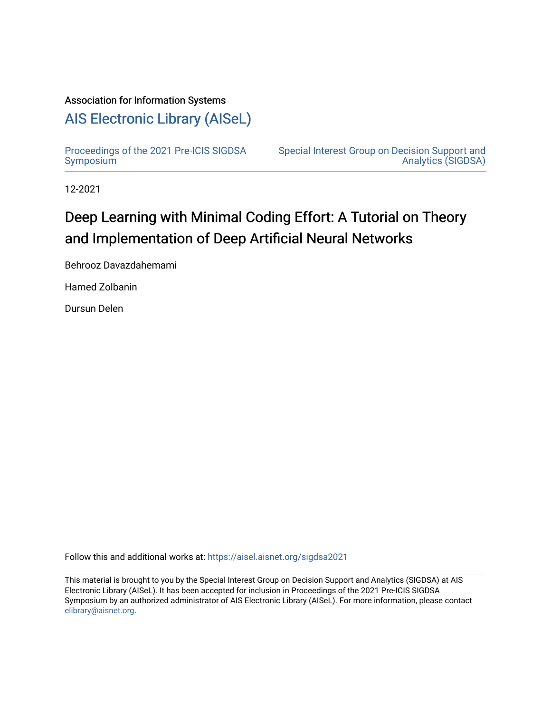## Association for Information Systems

# [AIS Electronic Library \(AISeL\)](https://aisel.aisnet.org/)

[Proceedings of the 2021 Pre-ICIS SIGDSA](https://aisel.aisnet.org/sigdsa2021)  [Symposium](https://aisel.aisnet.org/sigdsa2021) 

[Special Interest Group on Decision Support and](https://aisel.aisnet.org/sigdsa)  [Analytics \(SIGDSA\)](https://aisel.aisnet.org/sigdsa) 

12-2021

# Deep Learning with Minimal Coding Effort: A Tutorial on Theory and Implementation of Deep Artificial Neural Networks

Behrooz Davazdahemami

Hamed Zolbanin

Dursun Delen

Follow this and additional works at: [https://aisel.aisnet.org/sigdsa2021](https://aisel.aisnet.org/sigdsa2021?utm_source=aisel.aisnet.org%2Fsigdsa2021%2F5&utm_medium=PDF&utm_campaign=PDFCoverPages) 

This material is brought to you by the Special Interest Group on Decision Support and Analytics (SIGDSA) at AIS Electronic Library (AISeL). It has been accepted for inclusion in Proceedings of the 2021 Pre-ICIS SIGDSA Symposium by an authorized administrator of AIS Electronic Library (AISeL). For more information, please contact [elibrary@aisnet.org](mailto:elibrary@aisnet.org%3E).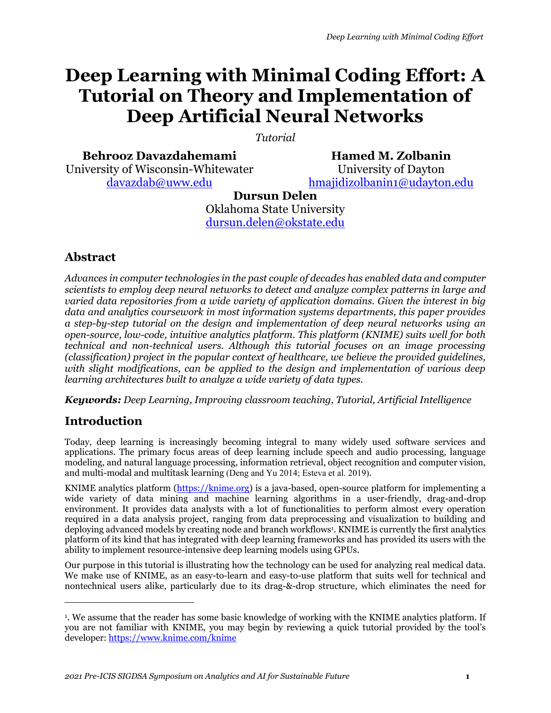# **Deep Learning with Minimal Coding Effort: A Tutorial on Theory and Implementation of Deep Artificial Neural Networks**

*Tutorial*

**Behrooz Davazdahemami**

University of Wisconsin-Whitewater [davazdab@uww.edu](mailto:davazdab@uww.edu)

**Hamed M. Zolbanin** University of Dayton [hmajidizolbanin1@udayton.edu](mailto:hmajidizolbanin1@udayton.edu)

**Dursun Delen** Oklahoma State University [dursun.delen@okstate.edu](mailto:dursun.delen@okstate.edu)

# **Abstract**

*Advances in computer technologies in the past couple of decades has enabled data and computer scientists to employ deep neural networks to detect and analyze complex patterns in large and varied data repositories from a wide variety of application domains. Given the interest in big data and analytics coursework in most information systems departments, this paper provides a step-by-step tutorial on the design and implementation of deep neural networks using an open-source, low-code, intuitive analytics platform. This platform (KNIME) suits well for both technical and non-technical users. Although this tutorial focuses on an image processing (classification) project in the popular context of healthcare, we believe the provided guidelines, with slight modifications, can be applied to the design and implementation of various deep learning architectures built to analyze a wide variety of data types.*

*Keywords: Deep Learning, Improving classroom teaching, Tutorial, Artificial Intelligence*

# **Introduction**

 $\overline{a}$ 

Today, deep learning is increasingly becoming integral to many widely used software services and applications. The primary focus areas of deep learning include speech and audio processing, language modeling, and natural language processing, information retrieval, object recognition and computer vision, and multi-modal and multitask learning (Deng and Yu 2014; Esteva et al. 2019).

KNIME analytics platform [\(https://knime.org\)](https://knime.org/) is a java-based, open-source platform for implementing a wide variety of data mining and machine learning algorithms in a user-friendly, drag-and-drop environment. It provides data analysts with a lot of functionalities to perform almost every operation required in a data analysis project, ranging from data preprocessing and visualization to building and deploying advanced models by creating node and branch workflows<sup>1</sup> . KNIME is currently the first analytics platform of its kind that has integrated with deep learning frameworks and has provided its users with the ability to implement resource-intensive deep learning models using GPUs.

Our purpose in this tutorial is illustrating how the technology can be used for analyzing real medical data. We make use of KNIME, as an easy-to-learn and easy-to-use platform that suits well for technical and nontechnical users alike, particularly due to its drag-&-drop structure, which eliminates the need for

<sup>1</sup> . We assume that the reader has some basic knowledge of working with the KNIME analytics platform. If you are not familiar with KNIME, you may begin by reviewing a quick tutorial provided by the tool's developer:<https://www.knime.com/knime>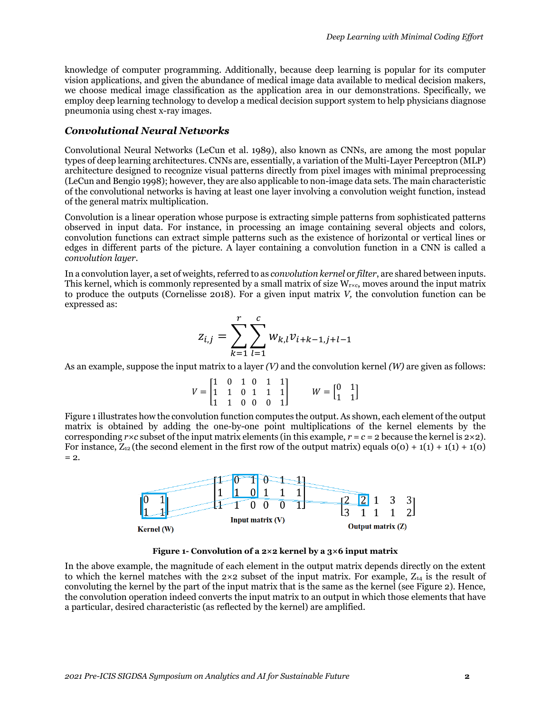knowledge of computer programming. Additionally, because deep learning is popular for its computer vision applications, and given the abundance of medical image data available to medical decision makers, we choose medical image classification as the application area in our demonstrations. Specifically, we employ deep learning technology to develop a medical decision support system to help physicians diagnose pneumonia using chest x-ray images.

#### *Convolutional Neural Networks*

Convolutional Neural Networks (LeCun et al. 1989), also known as CNNs, are among the most popular types of deep learning architectures. CNNs are, essentially, a variation of the Multi-Layer Perceptron (MLP) architecture designed to recognize visual patterns directly from pixel images with minimal preprocessing (LeCun and Bengio 1998); however, they are also applicable to non-image data sets. The main characteristic of the convolutional networks is having at least one layer involving a convolution weight function, instead of the general matrix multiplication.

Convolution is a linear operation whose purpose is extracting simple patterns from sophisticated patterns observed in input data. For instance, in processing an image containing several objects and colors, convolution functions can extract simple patterns such as the existence of horizontal or vertical lines or edges in different parts of the picture. A layer containing a convolution function in a CNN is called a *convolution layer*.

In a convolution layer, a set of weights, referred to as *convolution kernel* or *filter*, are shared between inputs. This kernel, which is commonly represented by a small matrix of size  $W_{\text{rxc}}$ , moves around the input matrix to produce the outputs (Cornelisse 2018). For a given input matrix *V,* the convolution function can be expressed as:

$$
z_{i,j} = \sum_{k=1}^{r} \sum_{l=1}^{c} w_{k,l} v_{i+k-1,j+l-1}
$$

As an example, suppose the input matrix to a layer *(V)* and the convolution kernel *(W)* are given as follows:

$$
V = \begin{bmatrix} 1 & 0 & 1 & 0 & 1 & 1 \\ 1 & 1 & 0 & 1 & 1 & 1 \\ 1 & 1 & 0 & 0 & 0 & 1 \end{bmatrix} \qquad W = \begin{bmatrix} 0 & 1 \\ 1 & 1 \end{bmatrix}
$$

Figure 1 illustrates how the convolution function computes the output. As shown, each element of the output matrix is obtained by adding the one-by-one point multiplications of the kernel elements by the corresponding  $r \times c$  subset of the input matrix elements (in this example,  $r = c = 2$  because the kernel is  $2 \times 2$ ). For instance,  $Z_{12}$  (the second element in the first row of the output matrix) equals  $O(0) + 1(1) + 1(1) + 1(0)$  $= 2.$ 



**Figure 1- Convolution of a 2×2 kernel by a 3×6 input matrix**

In the above example, the magnitude of each element in the output matrix depends directly on the extent to which the kernel matches with the  $2\times 2$  subset of the input matrix. For example,  $Z_{14}$  is the result of convoluting the kernel by the part of the input matrix that is the same as the kernel (see Figure 2). Hence, the convolution operation indeed converts the input matrix to an output in which those elements that have a particular, desired characteristic (as reflected by the kernel) are amplified.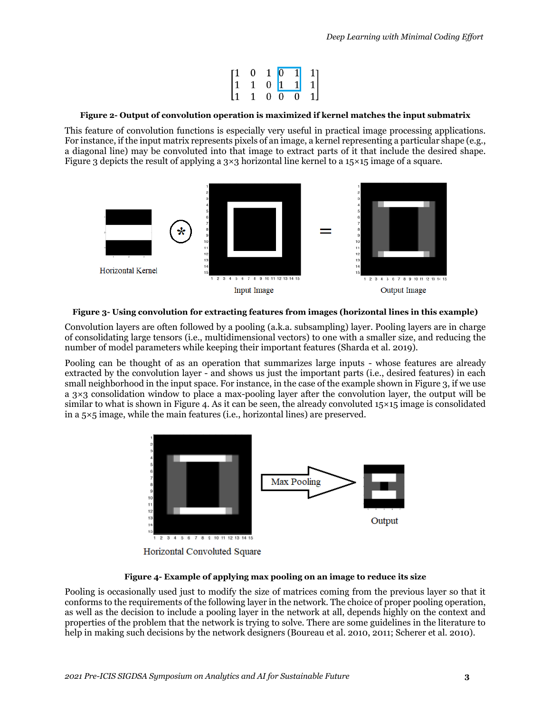|                                             | $\mathbf{0}$ |            |                                                        |                                             |
|---------------------------------------------|--------------|------------|--------------------------------------------------------|---------------------------------------------|
| $\begin{bmatrix} 1 \\ 1 \\ 1 \end{bmatrix}$ | 1            |            | $\begin{bmatrix} 1 & 0 & 1 \\ 0 & 1 & 1 \end{bmatrix}$ | $\begin{bmatrix} 1 \\ 1 \\ 1 \end{bmatrix}$ |
|                                             | $\mathbf{1}$ | $0\quad 0$ | $\overline{0}$                                         |                                             |

#### **Figure 2- Output of convolution operation is maximized if kernel matches the input submatrix**

This feature of convolution functions is especially very useful in practical image processing applications. For instance, if the input matrix represents pixels of an image, a kernel representing a particular shape (e.g., a diagonal line) may be convoluted into that image to extract parts of it that include the desired shape. Figure 3 depicts the result of applying a 3×3 horizontal line kernel to a 15×15 image of a square.



#### **Figure 3- Using convolution for extracting features from images (horizontal lines in this example)**

Convolution layers are often followed by a pooling (a.k.a. subsampling) layer. Pooling layers are in charge of consolidating large tensors (i.e., multidimensional vectors) to one with a smaller size, and reducing the number of model parameters while keeping their important features (Sharda et al. 2019).

Pooling can be thought of as an operation that summarizes large inputs - whose features are already extracted by the convolution layer - and shows us just the important parts (i.e., desired features) in each small neighborhood in the input space. For instance, in the case of the example shown in Figure 3, if we use a 3×3 consolidation window to place a max-pooling layer after the convolution layer, the output will be similar to what is shown in Figure 4. As it can be seen, the already convoluted  $15\times15$  image is consolidated in a 5×5 image, while the main features (i.e., horizontal lines) are preserved.



#### **Figure 4- Example of applying max pooling on an image to reduce its size**

Pooling is occasionally used just to modify the size of matrices coming from the previous layer so that it conforms to the requirements of the following layer in the network. The choice of proper pooling operation, as well as the decision to include a pooling layer in the network at all, depends highly on the context and properties of the problem that the network is trying to solve. There are some guidelines in the literature to help in making such decisions by the network designers (Boureau et al. 2010, 2011; Scherer et al. 2010).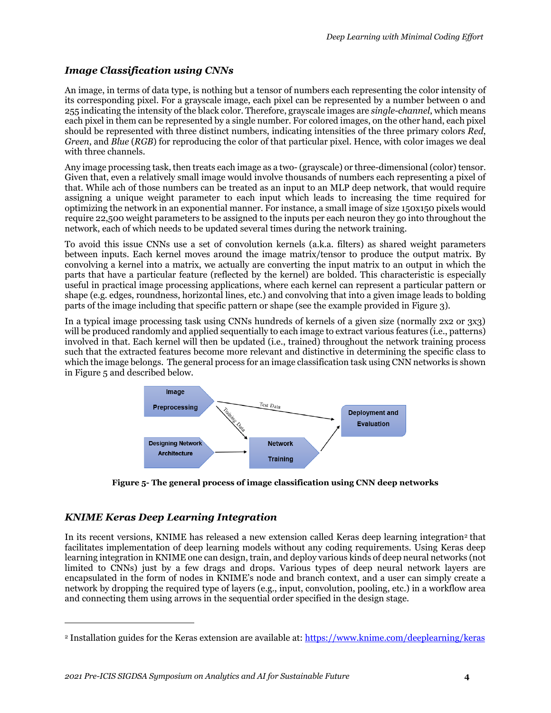## *Image Classification using CNNs*

An image, in terms of data type, is nothing but a tensor of numbers each representing the color intensity of its corresponding pixel. For a grayscale image, each pixel can be represented by a number between 0 and 255 indicating the intensity of the black color. Therefore, grayscale images are *single-channel*, which means each pixel in them can be represented by a single number. For colored images, on the other hand, each pixel should be represented with three distinct numbers, indicating intensities of the three primary colors *Red*, *Green*, and *Blue* (*RGB*) for reproducing the color of that particular pixel. Hence, with color images we deal with three channels.

Any image processing task, then treats each image as a two- (grayscale) or three-dimensional (color) tensor. Given that, even a relatively small image would involve thousands of numbers each representing a pixel of that. While ach of those numbers can be treated as an input to an MLP deep network, that would require assigning a unique weight parameter to each input which leads to increasing the time required for optimizing the network in an exponential manner. For instance, a small image of size 150x150 pixels would require 22,500 weight parameters to be assigned to the inputs per each neuron they go into throughout the network, each of which needs to be updated several times during the network training.

To avoid this issue CNNs use a set of convolution kernels (a.k.a. filters) as shared weight parameters between inputs. Each kernel moves around the image matrix/tensor to produce the output matrix. By convolving a kernel into a matrix, we actually are converting the input matrix to an output in which the parts that have a particular feature (reflected by the kernel) are bolded. This characteristic is especially useful in practical image processing applications, where each kernel can represent a particular pattern or shape (e.g. edges, roundness, horizontal lines, etc.) and convolving that into a given image leads to bolding parts of the image including that specific pattern or shape (see the example provided in Figure 3).

In a typical image processing task using CNNs hundreds of kernels of a given size (normally 2x2 or 3x3) will be produced randomly and applied sequentially to each image to extract various features (i.e., patterns) involved in that. Each kernel will then be updated (i.e., trained) throughout the network training process such that the extracted features become more relevant and distinctive in determining the specific class to which the image belongs. The general process for an image classification task using CNN networks is shown in Figure 5 and described below.



**Figure 5- The general process of image classification using CNN deep networks**

# *KNIME Keras Deep Learning Integration*

 $\overline{a}$ 

In its recent versions, KNIME has released a new extension called Keras deep learning integration<sup>2</sup> that facilitates implementation of deep learning models without any coding requirements. Using Keras deep learning integration in KNIME one can design, train, and deploy various kinds of deep neural networks (not limited to CNNs) just by a few drags and drops. Various types of deep neural network layers are encapsulated in the form of nodes in KNIME's node and branch context, and a user can simply create a network by dropping the required type of layers (e.g., input, convolution, pooling, etc.) in a workflow area and connecting them using arrows in the sequential order specified in the design stage.

<sup>2</sup> Installation guides for the Keras extension are available at:<https://www.knime.com/deeplearning/keras>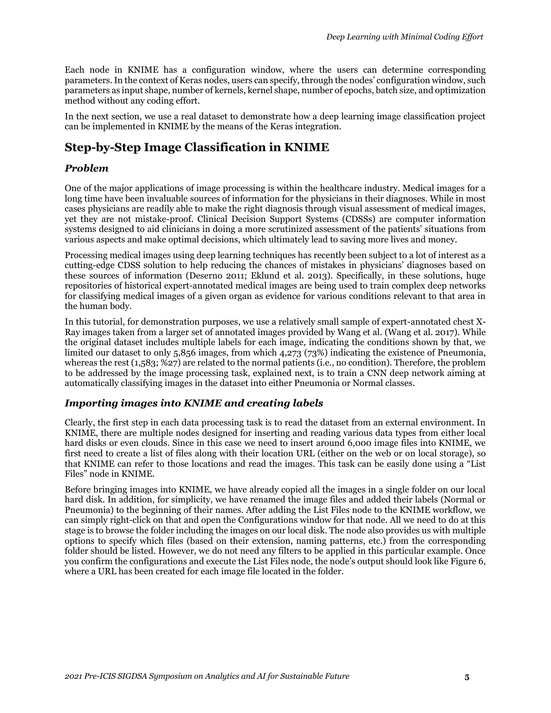Each node in KNIME has a configuration window, where the users can determine corresponding parameters. In the context of Keras nodes, users can specify, through the nodes' configuration window, such parameters as input shape, number of kernels, kernel shape, number of epochs, batch size, and optimization method without any coding effort.

In the next section, we use a real dataset to demonstrate how a deep learning image classification project can be implemented in KNIME by the means of the Keras integration.

# **Step-by-Step Image Classification in KNIME**

## *Problem*

One of the major applications of image processing is within the healthcare industry. Medical images for a long time have been invaluable sources of information for the physicians in their diagnoses. While in most cases physicians are readily able to make the right diagnosis through visual assessment of medical images, yet they are not mistake-proof. Clinical Decision Support Systems (CDSSs) are computer information systems designed to aid clinicians in doing a more scrutinized assessment of the patients' situations from various aspects and make optimal decisions, which ultimately lead to saving more lives and money.

Processing medical images using deep learning techniques has recently been subject to a lot of interest as a cutting-edge CDSS solution to help reducing the chances of mistakes in physicians' diagnoses based on these sources of information (Deserno 2011; Eklund et al. 2013). Specifically, in these solutions, huge repositories of historical expert-annotated medical images are being used to train complex deep networks for classifying medical images of a given organ as evidence for various conditions relevant to that area in the human body.

In this tutorial, for demonstration purposes, we use a relatively small sample of expert-annotated chest X-Ray images taken from a larger set of annotated images provided by Wang et al. (Wang et al. 2017). While the original dataset includes multiple labels for each image, indicating the conditions shown by that, we limited our dataset to only 5,856 images, from which 4,273 (73%) indicating the existence of Pneumonia, whereas the rest (1,583; %27) are related to the normal patients (i.e., no condition). Therefore, the problem to be addressed by the image processing task, explained next, is to train a CNN deep network aiming at automatically classifying images in the dataset into either Pneumonia or Normal classes.

## *Importing images into KNIME and creating labels*

Clearly, the first step in each data processing task is to read the dataset from an external environment. In KNIME, there are multiple nodes designed for inserting and reading various data types from either local hard disks or even clouds. Since in this case we need to insert around 6,000 image files into KNIME, we first need to create a list of files along with their location URL (either on the web or on local storage), so that KNIME can refer to those locations and read the images. This task can be easily done using a "List Files" node in KNIME.

Before bringing images into KNIME, we have already copied all the images in a single folder on our local hard disk. In addition, for simplicity, we have renamed the image files and added their labels (Normal or Pneumonia) to the beginning of their names. After adding the List Files node to the KNIME workflow, we can simply right-click on that and open the Configurations window for that node. All we need to do at this stage is to browse the folder including the images on our local disk. The node also provides us with multiple options to specify which files (based on their extension, naming patterns, etc.) from the corresponding folder should be listed. However, we do not need any filters to be applied in this particular example. Once you confirm the configurations and execute the List Files node, the node's output should look like Figure 6, where a URL has been created for each image file located in the folder.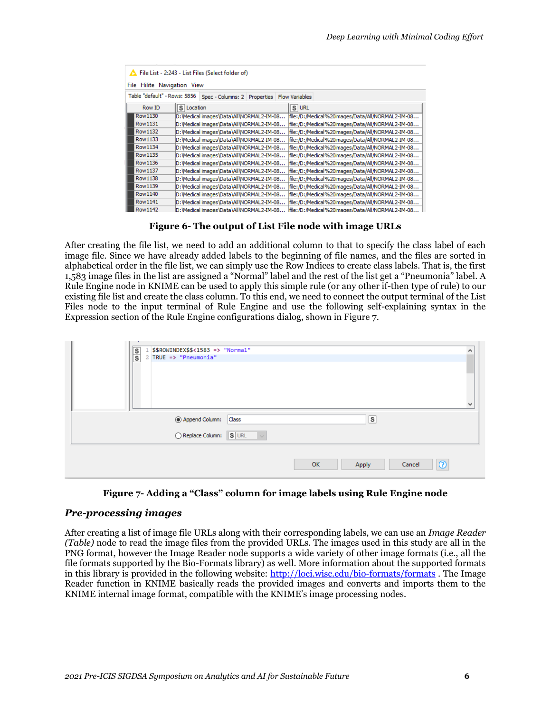| File List - 2:243 - List Files (Select folder of) |                                               |                                                  |  |  |  |  |  |  |
|---------------------------------------------------|-----------------------------------------------|--------------------------------------------------|--|--|--|--|--|--|
| File Hilite Navigation View                       |                                               |                                                  |  |  |  |  |  |  |
| Table "default" - Rows: 5856                      | Spec - Columns: 2 Properties Flow Variables   |                                                  |  |  |  |  |  |  |
| Row ID                                            | S Location                                    | S URL                                            |  |  |  |  |  |  |
| <b>Row1130</b>                                    | D: Wedical images \Data\All\NORMAL2-IM-08     | file:/D:/Medical%20images/Data/All/NORMAL2-IM-08 |  |  |  |  |  |  |
| Row1131                                           | D: Wedical images \Data \All \NORMAL2-IM-08   | file:/D:/Medical%20images/Data/All/NORMAL2-IM-08 |  |  |  |  |  |  |
| Row 1132                                          | D: Wedical images \Data\All\NORMAL2-IM-08     | file:/D:/Medical%20images/Data/All/NORMAL2-IM-08 |  |  |  |  |  |  |
| Row 1133                                          | D: Wedical images \Data\All\NORMAL2-IM-08     | file:/D:/Medical%20images/Data/All/NORMAL2-IM-08 |  |  |  |  |  |  |
| <b>Row1134</b>                                    | D: Wedical images \Data\All\NORMAL2-IM-08     | file:/D:/Medical%20images/Data/All/NORMAL2-IM-08 |  |  |  |  |  |  |
| <b>Row1135</b>                                    | D: Wedical images \Data\All\NORMAL2-IM-08     | file:/D:/Medical%20images/Data/All/NORMAL2-IM-08 |  |  |  |  |  |  |
| <b>Row1136</b>                                    | D: Wedical images \Data\All\NORMAL2-IM-08     | file:/D:/Medical%20images/Data/All/NORMAL2-IM-08 |  |  |  |  |  |  |
| <b>Row1137</b>                                    | D: Wedical images \Data\All\NORMAL2-IM-08     | file:/D:/Medical%20images/Data/All/NORMAL2-IM-08 |  |  |  |  |  |  |
| <b>Row1138</b>                                    | D: Wedical images \Data \All \NORMAL2-IM-08   | file:/D:/Medical%20images/Data/All/NORMAL2-IM-08 |  |  |  |  |  |  |
| Row 1139                                          | D: Medical images \Data\All\NORMAL2-IM-08     | file:/D:/Medical%20images/Data/All/NORMAL2-IM-08 |  |  |  |  |  |  |
| Row 1140                                          | D: Medical images \Data \All \NORMAL2-IM-08   | file:/D:/Medical%20images/Data/All/NORMAL2-IM-08 |  |  |  |  |  |  |
| Row1141                                           | D: Medical images \Data \All \NORMAL2-IM-08   | file:/D:/Medical%20images/Data/All/NORMAL2-IM-08 |  |  |  |  |  |  |
| <b>Row1142</b>                                    | D: Wedical images \Data \All \NORMAL 2-IM-08. | file:/D:/Medical%20images/Data/All/NORMAL2-IM-08 |  |  |  |  |  |  |

**Figure 6- The output of List File node with image URLs**

After creating the file list, we need to add an additional column to that to specify the class label of each image file. Since we have already added labels to the beginning of file names, and the files are sorted in alphabetical order in the file list, we can simply use the Row Indices to create class labels. That is, the first 1,583 image files in the list are assigned a "Normal" label and the rest of the list get a "Pneumonia" label. A Rule Engine node in KNIME can be used to apply this simple rule (or any other if-then type of rule) to our existing file list and create the class column. To this end, we need to connect the output terminal of the List Files node to the input terminal of Rule Engine and use the following self-explaining syntax in the Expression section of the Rule Engine configurations dialog, shown in Figure 7.

| \$\$ROWINDEX\$\$<1583 => "Normal"<br>$\frac{s}{s}$<br>$2$ TRUE => "Pneumonia" | Α      |
|-------------------------------------------------------------------------------|--------|
|                                                                               | $\sim$ |
| $\vert$ S<br>Append Column: Class                                             |        |
| Replace Column: SURL<br>$\sim$                                                |        |
| OK<br>Cancel<br>Apply                                                         |        |

**Figure 7- Adding a "Class" column for image labels using Rule Engine node**

## *Pre-processing images*

After creating a list of image file URLs along with their corresponding labels, we can use an *Image Reader (Table)* node to read the image files from the provided URLs. The images used in this study are all in the PNG format, however the Image Reader node supports a wide variety of other image formats (i.e., all the file formats supported by the Bio-Formats library) as well. More information about the supported formats in this library is provided in the following website:<http://loci.wisc.edu/bio-formats/formats> . The Image Reader function in KNIME basically reads the provided images and converts and imports them to the KNIME internal image format, compatible with the KNIME's image processing nodes.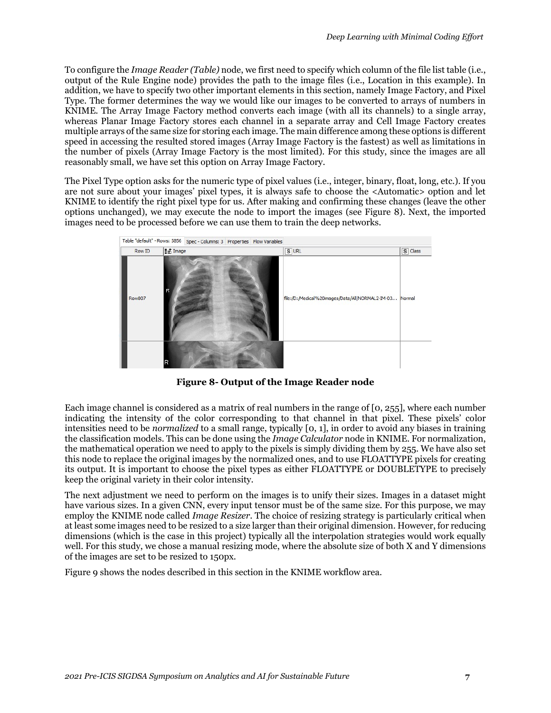To configure the *Image Reader (Table)* node, we first need to specify which column of the file list table (i.e., output of the Rule Engine node) provides the path to the image files (i.e., Location in this example). In addition, we have to specify two other important elements in this section, namely Image Factory, and Pixel Type. The former determines the way we would like our images to be converted to arrays of numbers in KNIME. The Array Image Factory method converts each image (with all its channels) to a single array, whereas Planar Image Factory stores each channel in a separate array and Cell Image Factory creates multiple arrays of the same size for storing each image. The main difference among these options is different speed in accessing the resulted stored images (Array Image Factory is the fastest) as well as limitations in the number of pixels (Array Image Factory is the most limited). For this study, since the images are all reasonably small, we have set this option on Array Image Factory.

The Pixel Type option asks for the numeric type of pixel values (i.e., integer, binary, float, long, etc.). If you are not sure about your images' pixel types, it is always safe to choose the <Automatic> option and let KNIME to identify the right pixel type for us. After making and confirming these changes (leave the other options unchanged), we may execute the node to import the images (see Figure 8). Next, the imported images need to be processed before we can use them to train the deep networks.



**Figure 8- Output of the Image Reader node**

Each image channel is considered as a matrix of real numbers in the range of [0, 255], where each number indicating the intensity of the color corresponding to that channel in that pixel. These pixels' color intensities need to be *normalized* to a small range, typically [0, 1], in order to avoid any biases in training the classification models. This can be done using the *Image Calculator* node in KNIME. For normalization, the mathematical operation we need to apply to the pixels is simply dividing them by 255. We have also set this node to replace the original images by the normalized ones, and to use FLOATTYPE pixels for creating its output. It is important to choose the pixel types as either FLOATTYPE or DOUBLETYPE to precisely keep the original variety in their color intensity.

The next adjustment we need to perform on the images is to unify their sizes. Images in a dataset might have various sizes. In a given CNN, every input tensor must be of the same size. For this purpose, we may employ the KNIME node called *Image Resizer*. The choice of resizing strategy is particularly critical when at least some images need to be resized to a size larger than their original dimension. However, for reducing dimensions (which is the case in this project) typically all the interpolation strategies would work equally well. For this study, we chose a manual resizing mode, where the absolute size of both X and Y dimensions of the images are set to be resized to 150px.

Figure 9 shows the nodes described in this section in the KNIME workflow area.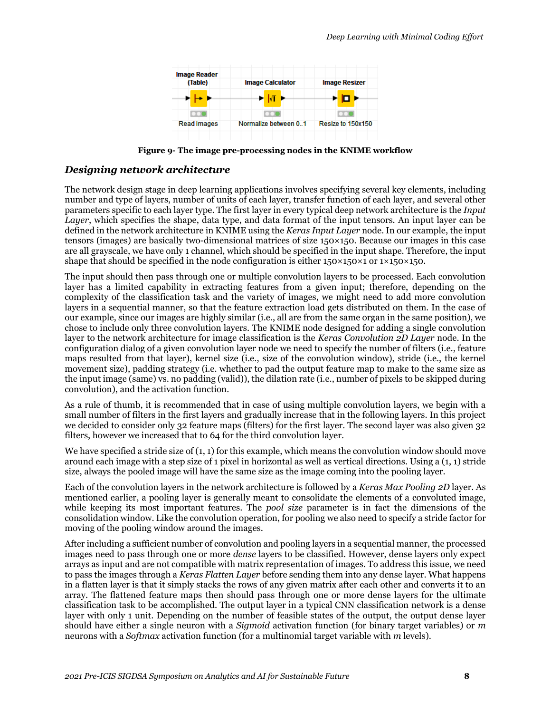

**Figure 9- The image pre-processing nodes in the KNIME workflow**

#### *Designing network architecture*

The network design stage in deep learning applications involves specifying several key elements, including number and type of layers, number of units of each layer, transfer function of each layer, and several other parameters specific to each layer type. The first layer in every typical deep network architecture is the *Input Layer*, which specifies the shape, data type, and data format of the input tensors. An input layer can be defined in the network architecture in KNIME using the *Keras Input Layer* node. In our example, the input tensors (images) are basically two-dimensional matrices of size 150×150. Because our images in this case are all grayscale, we have only 1 channel, which should be specified in the input shape. Therefore, the input shape that should be specified in the node configuration is either  $150\times150\times150\times150\times150$ .

The input should then pass through one or multiple convolution layers to be processed. Each convolution layer has a limited capability in extracting features from a given input; therefore, depending on the complexity of the classification task and the variety of images, we might need to add more convolution layers in a sequential manner, so that the feature extraction load gets distributed on them. In the case of our example, since our images are highly similar (i.e., all are from the same organ in the same position), we chose to include only three convolution layers. The KNIME node designed for adding a single convolution layer to the network architecture for image classification is the *Keras Convolution 2D Layer* node. In the configuration dialog of a given convolution layer node we need to specify the number of filters (i.e., feature maps resulted from that layer), kernel size (i.e., size of the convolution window), stride (i.e., the kernel movement size), padding strategy (i.e. whether to pad the output feature map to make to the same size as the input image (same) vs. no padding (valid)), the dilation rate (i.e., number of pixels to be skipped during convolution), and the activation function.

As a rule of thumb, it is recommended that in case of using multiple convolution layers, we begin with a small number of filters in the first layers and gradually increase that in the following layers. In this project we decided to consider only 32 feature maps (filters) for the first layer. The second layer was also given 32 filters, however we increased that to 64 for the third convolution layer.

We have specified a stride size of  $(1, 1)$  for this example, which means the convolution window should move around each image with a step size of 1 pixel in horizontal as well as vertical directions. Using a (1, 1) stride size, always the pooled image will have the same size as the image coming into the pooling layer.

Each of the convolution layers in the network architecture is followed by a *Keras Max Pooling 2D* layer. As mentioned earlier, a pooling layer is generally meant to consolidate the elements of a convoluted image, while keeping its most important features. The *pool size* parameter is in fact the dimensions of the consolidation window. Like the convolution operation, for pooling we also need to specify a stride factor for moving of the pooling window around the images.

After including a sufficient number of convolution and pooling layers in a sequential manner, the processed images need to pass through one or more *dense* layers to be classified. However, dense layers only expect arrays as input and are not compatible with matrix representation of images. To address this issue, we need to pass the images through a *Keras Flatten Layer* before sending them into any dense layer. What happens in a flatten layer is that it simply stacks the rows of any given matrix after each other and converts it to an array. The flattened feature maps then should pass through one or more dense layers for the ultimate classification task to be accomplished. The output layer in a typical CNN classification network is a dense layer with only 1 unit. Depending on the number of feasible states of the output, the output dense layer should have either a single neuron with a *Sigmoid* activation function (for binary target variables) or *m* neurons with a *Softmax* activation function (for a multinomial target variable with *m* levels).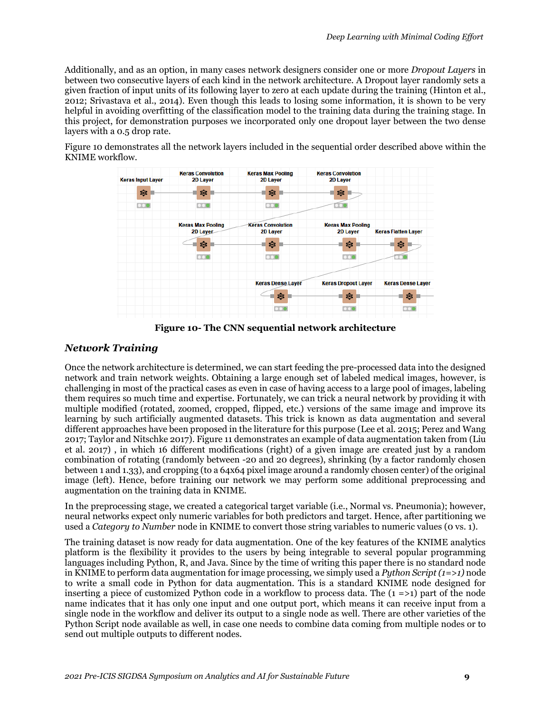Additionally, and as an option, in many cases network designers consider one or more *Dropout Layers* in between two consecutive layers of each kind in the network architecture. A Dropout layer randomly sets a given fraction of input units of its following layer to zero at each update during the training (Hinton et al., 2012; Srivastava et al., 2014). Even though this leads to losing some information, it is shown to be very helpful in avoiding overfitting of the classification model to the training data during the training stage. In this project, for demonstration purposes we incorporated only one dropout layer between the two dense layers with a 0.5 drop rate.

Figure 10 demonstrates all the network layers included in the sequential order described above within the KNIME workflow.



**Figure 10- The CNN sequential network architecture**

## *Network Training*

Once the network architecture is determined, we can start feeding the pre-processed data into the designed network and train network weights. Obtaining a large enough set of labeled medical images, however, is challenging in most of the practical cases as even in case of having access to a large pool of images, labeling them requires so much time and expertise. Fortunately, we can trick a neural network by providing it with multiple modified (rotated, zoomed, cropped, flipped, etc.) versions of the same image and improve its learning by such artificially augmented datasets. This trick is known as data augmentation and several different approaches have been proposed in the literature for this purpose (Lee et al. 2015; Perez and Wang 2017; Taylor and Nitschke 2017). Figure 11 demonstrates an example of data augmentation taken from (Liu et al. 2017) , in which 16 different modifications (right) of a given image are created just by a random combination of rotating (randomly between -20 and 20 degrees), shrinking (by a factor randomly chosen between 1 and 1.33), and cropping (to a 64x64 pixel image around a randomly chosen center) of the original image (left). Hence, before training our network we may perform some additional preprocessing and augmentation on the training data in KNIME.

In the preprocessing stage, we created a categorical target variable (i.e., Normal vs. Pneumonia); however, neural networks expect only numeric variables for both predictors and target. Hence, after partitioning we used a *Category to Number* node in KNIME to convert those string variables to numeric values (0 vs. 1).

The training dataset is now ready for data augmentation. One of the key features of the KNIME analytics platform is the flexibility it provides to the users by being integrable to several popular programming languages including Python, R, and Java. Since by the time of writing this paper there is no standard node in KNIME to perform data augmentation for image processing, we simply used a *Python Script (1=>1)* node to write a small code in Python for data augmentation. This is a standard KNIME node designed for inserting a piece of customized Python code in a workflow to process data. The  $(1 = > 1)$  part of the node name indicates that it has only one input and one output port, which means it can receive input from a single node in the workflow and deliver its output to a single node as well. There are other varieties of the Python Script node available as well, in case one needs to combine data coming from multiple nodes or to send out multiple outputs to different nodes.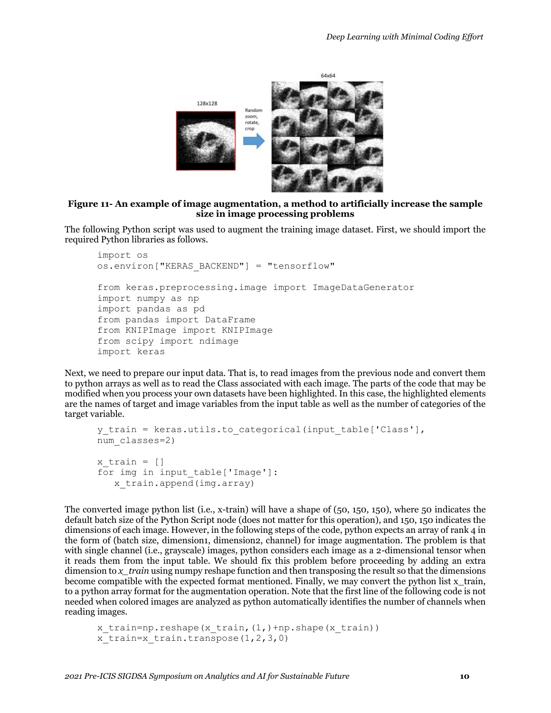

#### **Figure 11- An example of image augmentation, a method to artificially increase the sample size in image processing problems**

The following Python script was used to augment the training image dataset. First, we should import the required Python libraries as follows.

```
import os
os.environ["KERAS_BACKEND"] = "tensorflow"
from keras.preprocessing.image import ImageDataGenerator
import numpy as np
import pandas as pd
from pandas import DataFrame
from KNIPImage import KNIPImage
from scipy import ndimage
import keras
```
Next, we need to prepare our input data. That is, to read images from the previous node and convert them to python arrays as well as to read the Class associated with each image. The parts of the code that may be modified when you process your own datasets have been highlighted. In this case, the highlighted elements are the names of target and image variables from the input table as well as the number of categories of the target variable.

```
y train = keras.utils.to categorical(input table['Class'],
num_classes=2)
x train = []for img in input_table['Image']:
    x_train.append(img.array)
```
The converted image python list (i.e., x-train) will have a shape of (50, 150, 150), where 50 indicates the default batch size of the Python Script node (does not matter for this operation), and 150, 150 indicates the dimensions of each image. However, in the following steps of the code, python expects an array of rank 4 in the form of (batch size, dimension1, dimension2, channel) for image augmentation. The problem is that with single channel (i.e., grayscale) images, python considers each image as a 2-dimensional tensor when it reads them from the input table. We should fix this problem before proceeding by adding an extra dimension to *x\_train* using numpy reshape function and then transposing the result so that the dimensions become compatible with the expected format mentioned. Finally, we may convert the python list x\_train, to a python array format for the augmentation operation. Note that the first line of the following code is not needed when colored images are analyzed as python automatically identifies the number of channels when reading images.

```
x_train=np.reshape(x_train,(1,)+np.shape(x_train))
x train=x train.transpose(1,2,3,0)
```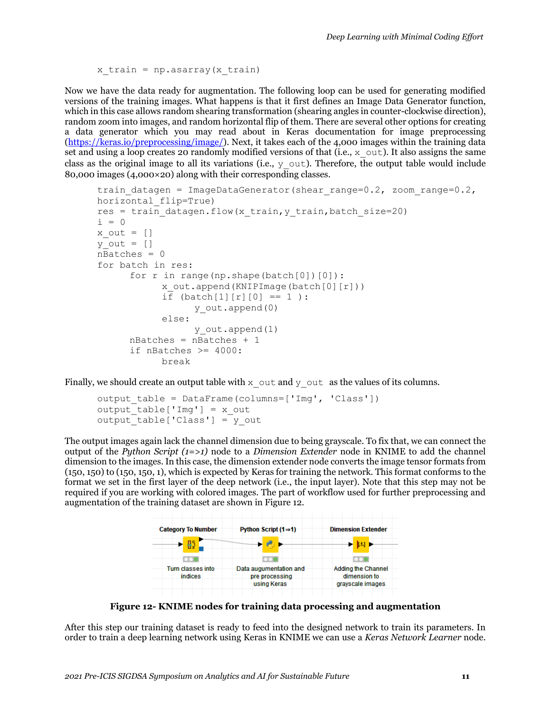$x$  train = np.asarray(x train)

Now we have the data ready for augmentation. The following loop can be used for generating modified versions of the training images. What happens is that it first defines an Image Data Generator function, which in this case allows random shearing transformation (shearing angles in counter-clockwise direction), random zoom into images, and random horizontal flip of them. There are several other options for creating a data generator which you may read about in Keras documentation for image preprocessing [\(https://keras.io/preprocessing/image/\)](https://keras.io/preprocessing/image/). Next, it takes each of the 4,000 images within the training data set and using a loop creates 20 randomly modified versions of that (i.e.,  $x_0$ ut). It also assigns the same class as the original image to all its variations (i.e.,  $y_0$  out). Therefore, the output table would include 80,000 images (4,000×20) along with their corresponding classes.

```
train datagen = ImageDataGenerator(shear range=0.2, zoom range=0.2,
horizontal flip=True)
res = train datagen.flow(x train,y train,batch size=20)
i = 0x out = []y out = []nBatches = 0for batch in res:
      for r in range(np.shape(batch[0])[0]):
           x_out.append(KNIPImage(batch[0][r]))
           i\bar{f} (batch[1][r][0] == 1):
                 y_out.append(0)
           else:
                 y_out.append(1)
      nBatches = nBatches + 1
      if nBatches >= 4000:
           break
```
Finally, we should create an output table with  $x_{\text{out}}$  and  $y_{\text{out}}$  as the values of its columns.

```
output table = DataFrame(columns=['Imq', 'Class'])output_table['Img'] = x_out
output table['Class'] = y out
```
The output images again lack the channel dimension due to being grayscale. To fix that, we can connect the output of the *Python Script (1=>1)* node to a *Dimension Extender* node in KNIME to add the channel dimension to the images. In this case, the dimension extender node converts the image tensor formats from (150, 150) to (150, 150, 1), which is expected by Keras for training the network. This format conforms to the format we set in the first layer of the deep network (i.e., the input layer). Note that this step may not be required if you are working with colored images. The part of workflow used for further preprocessing and augmentation of the training dataset are shown in Figure 12.

| <b>Category To Number</b>           | Python Script $(1\Rightarrow 1)$         | <b>Dimension Extender</b>                 |
|-------------------------------------|------------------------------------------|-------------------------------------------|
|                                     |                                          |                                           |
|                                     |                                          |                                           |
| <b>Turn classes into</b><br>indices | Data augumentation and<br>pre processing | <b>Adding the Channel</b><br>dimension to |
|                                     | using Keras                              | grayscale images                          |

**Figure 12- KNIME nodes for training data processing and augmentation**

After this step our training dataset is ready to feed into the designed network to train its parameters. In order to train a deep learning network using Keras in KNIME we can use a *Keras Network Learner* node.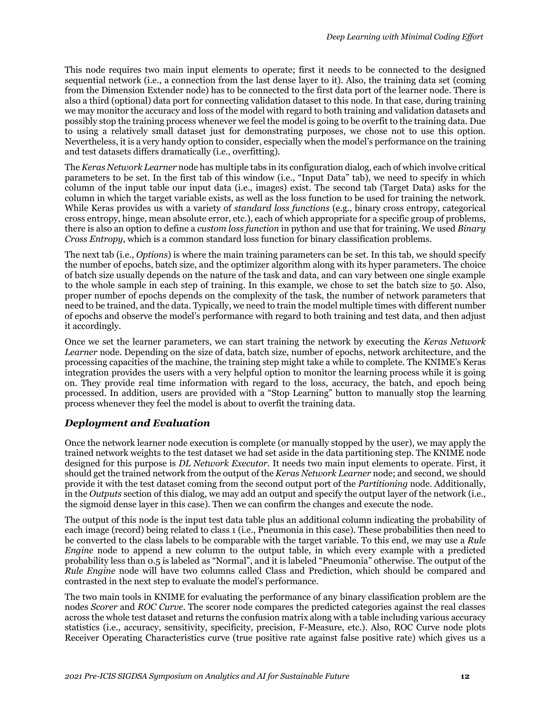This node requires two main input elements to operate; first it needs to be connected to the designed sequential network (i.e., a connection from the last dense layer to it). Also, the training data set (coming from the Dimension Extender node) has to be connected to the first data port of the learner node. There is also a third (optional) data port for connecting validation dataset to this node. In that case, during training we may monitor the accuracy and loss of the model with regard to both training and validation datasets and possibly stop the training process whenever we feel the model is going to be overfit to the training data. Due to using a relatively small dataset just for demonstrating purposes, we chose not to use this option. Nevertheless, it is a very handy option to consider, especially when the model's performance on the training and test datasets differs dramatically (i.e., overfitting).

The *Keras Network Learner* node has multiple tabs in its configuration dialog, each of which involve critical parameters to be set. In the first tab of this window (i.e., "Input Data" tab), we need to specify in which column of the input table our input data (i.e., images) exist. The second tab (Target Data) asks for the column in which the target variable exists, as well as the loss function to be used for training the network. While Keras provides us with a variety of *standard loss functions* (e.g., binary cross entropy, categorical cross entropy, hinge, mean absolute error, etc.), each of which appropriate for a specific group of problems, there is also an option to define a *custom loss function* in python and use that for training. We used *Binary Cross Entropy*, which is a common standard loss function for binary classification problems.

The next tab (i.e., *Options*) is where the main training parameters can be set. In this tab, we should specify the number of epochs, batch size, and the optimizer algorithm along with its hyper parameters. The choice of batch size usually depends on the nature of the task and data, and can vary between one single example to the whole sample in each step of training. In this example, we chose to set the batch size to 50. Also, proper number of epochs depends on the complexity of the task, the number of network parameters that need to be trained, and the data. Typically, we need to train the model multiple times with different number of epochs and observe the model's performance with regard to both training and test data, and then adjust it accordingly.

Once we set the learner parameters, we can start training the network by executing the *Keras Network Learner* node. Depending on the size of data, batch size, number of epochs, network architecture, and the processing capacities of the machine, the training step might take a while to complete. The KNIME's Keras integration provides the users with a very helpful option to monitor the learning process while it is going on. They provide real time information with regard to the loss, accuracy, the batch, and epoch being processed. In addition, users are provided with a "Stop Learning" button to manually stop the learning process whenever they feel the model is about to overfit the training data.

# *Deployment and Evaluation*

Once the network learner node execution is complete (or manually stopped by the user), we may apply the trained network weights to the test dataset we had set aside in the data partitioning step. The KNIME node designed for this purpose is *DL Network Executor.* It needs two main input elements to operate. First, it should get the trained network from the output of the *Keras Network Learner* node; and second, we should provide it with the test dataset coming from the second output port of the *Partitioning* node. Additionally, in the *Outputs* section of this dialog, we may add an output and specify the output layer of the network (i.e., the sigmoid dense layer in this case). Then we can confirm the changes and execute the node.

The output of this node is the input test data table plus an additional column indicating the probability of each image (record) being related to class 1 (i.e., Pneumonia in this case). These probabilities then need to be converted to the class labels to be comparable with the target variable. To this end, we may use a *Rule Engine* node to append a new column to the output table, in which every example with a predicted probability less than 0.5 is labeled as "Normal", and it is labeled "Pneumonia" otherwise. The output of the *Rule Engine* node will have two columns called Class and Prediction, which should be compared and contrasted in the next step to evaluate the model's performance.

The two main tools in KNIME for evaluating the performance of any binary classification problem are the nodes *Scorer* and *ROC Curve*. The scorer node compares the predicted categories against the real classes across the whole test dataset and returns the confusion matrix along with a table including various accuracy statistics (i.e., accuracy, sensitivity, specificity, precision, F-Measure, etc.). Also, ROC Curve node plots Receiver Operating Characteristics curve (true positive rate against false positive rate) which gives us a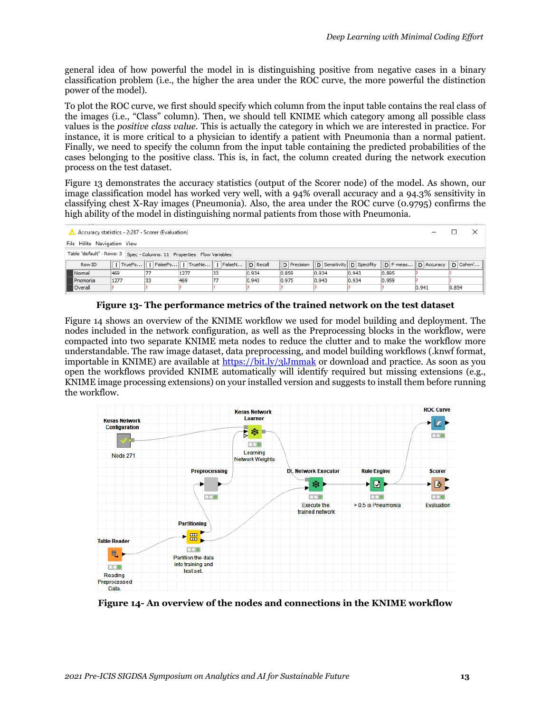general idea of how powerful the model in is distinguishing positive from negative cases in a binary classification problem (i.e., the higher the area under the ROC curve, the more powerful the distinction power of the model).

To plot the ROC curve, we first should specify which column from the input table contains the real class of the images (i.e., "Class" column). Then, we should tell KNIME which category among all possible class values is the *positive class value.* This is actually the category in which we are interested in practice. For instance, it is more critical to a physician to identify a patient with Pneumonia than a normal patient. Finally, we need to specify the column from the input table containing the predicted probabilities of the cases belonging to the positive class. This is, in fact, the column created during the network execution process on the test dataset.

Figure 13 demonstrates the accuracy statistics (output of the Scorer node) of the model. As shown, our image classification model has worked very well, with a 94% overall accuracy and a 94.3% sensitivity in classifying chest X-Ray images (Pneumonia). Also, the area under the ROC curve (0.9795) confirms the high ability of the model in distinguishing normal patients from those with Pneumonia.

| A Accuracy statistics - 2:287 - Scorer (Evaluation)                          |          |      |                                                   |      |    |       |       |                                                                                                                                |       |       |       |       |  |
|------------------------------------------------------------------------------|----------|------|---------------------------------------------------|------|----|-------|-------|--------------------------------------------------------------------------------------------------------------------------------|-------|-------|-------|-------|--|
| File Hilite Navigation View                                                  |          |      |                                                   |      |    |       |       |                                                                                                                                |       |       |       |       |  |
| Table "default" - Rows: 3   Spec - Columns: 11   Properties   Flow Variables |          |      |                                                   |      |    |       |       |                                                                                                                                |       |       |       |       |  |
|                                                                              | Row ID   |      | TruePo   T FalsePo   TrueNe   T FalseN   D Recall |      |    |       |       | $\boxed{D}$ Precision $\boxed{D}$ Sensitivity $\boxed{D}$ Specifity $\boxed{D}$ F-meas $\boxed{D}$ Accuracy $\boxed{D}$ Cohen' |       |       |       |       |  |
|                                                                              | Normal   | 469  |                                                   | 1277 | 33 | 0.934 | 0.859 | 0.934                                                                                                                          | 0.943 | 0.895 |       |       |  |
|                                                                              | Pnomonia | 1277 | 33                                                | 469  |    | 0.943 | 0.975 | 0.943                                                                                                                          | 0.934 | 0.959 |       |       |  |
|                                                                              | Overall  |      |                                                   |      |    |       |       |                                                                                                                                |       |       | 0.941 | 0.854 |  |



Figure 14 shows an overview of the KNIME workflow we used for model building and deployment. The nodes included in the network configuration, as well as the Preprocessing blocks in the workflow, were compacted into two separate KNIME meta nodes to reduce the clutter and to make the workflow more understandable. The raw image dataset, data preprocessing, and model building workflows (.knwf format, importable in KNIME) are available at <https://bit.ly/3lJmmak> or download and practice. As soon as you open the workflows provided KNIME automatically will identify required but missing extensions (e.g., KNIME image processing extensions) on your installed version and suggests to install them before running the workflow.



**Figure 14- An overview of the nodes and connections in the KNIME workflow**